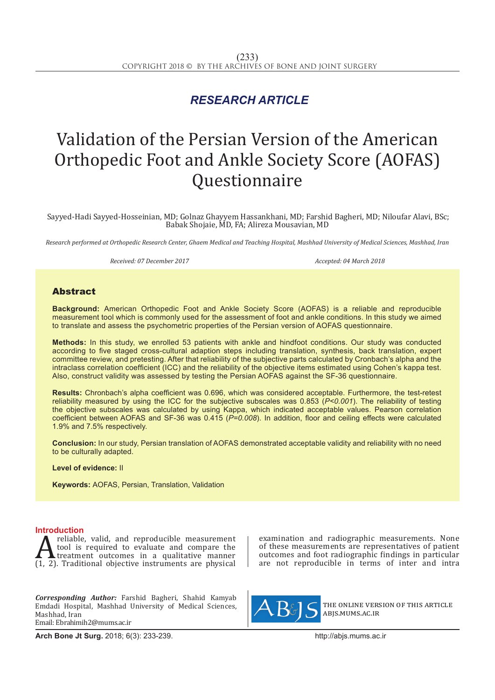## *RESEARCH ARTICLE*

# Validation of the Persian Version of the American Orthopedic Foot and Ankle Society Score (AOFAS) Questionnaire

 Sayyed-Hadi Sayyed-Hosseinian, MD; Golnaz Ghayyem Hassankhani, MD; Farshid Bagheri, MD; Niloufar Alavi, BSc; Babak Shojaie, MD, FA; Alireza Mousavian, MD

*Research performed at Orthopedic Research Center, Ghaem Medical and Teaching Hospital, Mashhad University of Medical Sciences, Mashhad, Iran*

*Received: 07 December 2017 Accepted: 04 March 2018*

#### Abstract

**Background:** American Orthopedic Foot and Ankle Society Score (AOFAS) is a reliable and reproducible measurement tool which is commonly used for the assessment of foot and ankle conditions. In this study we aimed to translate and assess the psychometric properties of the Persian version of AOFAS questionnaire.

**Methods:** In this study, we enrolled 53 patients with ankle and hindfoot conditions. Our study was conducted according to five staged cross-cultural adaption steps including translation, synthesis, back translation, expert committee review, and pretesting. After that reliability of the subjective parts calculated by Cronbach's alpha and the intraclass correlation coefficient (ICC) and the reliability of the objective items estimated using Cohen's kappa test. Also, construct validity was assessed by testing the Persian AOFAS against the SF-36 questionnaire.

**Results:** Chronbach's alpha coefficient was 0.696, which was considered acceptable. Furthermore, the test-retest reliability measured by using the ICC for the subjective subscales was 0.853 (*P<0.001*). The reliability of testing the objective subscales was calculated by using Kappa, which indicated acceptable values. Pearson correlation coefficient between AOFAS and SF-36 was 0.415 (*P=0.008*). In addition, floor and ceiling effects were calculated 1.9% and 7.5% respectively.

**Conclusion:** In our study, Persian translation of AOFAS demonstrated acceptable validity and reliability with no need to be culturally adapted.

**Level of evidence:** II

**Keywords:** AOFAS, Persian, Translation, Validation

**Introduction**<br>**A** reliable, valid, and reproducible measurement **A** reliable, valid, and reproducible measurement<br>tool is required to evaluate and compare the<br>(1, 2). Traditional objective instruments are physical tool is required to evaluate and compare the Itreatment outcomes in a qualitative manner

*Corresponding Author:* Farshid Bagheri, Shahid Kamyab Emdadi Hospital, Mashhad University of Medical Sciences, Mashhad, Iran Email: Ebrahimih2@mums.ac.ir

**Arch Bone Jt Surg.** 2018; 6(3): 233-239.http://abjs.mums.ac.ir

examination and radiographic measurements. None of these measurements are representatives of patient outcomes and foot radiographic findings in particular are not reproducible in terms of inter and intra



the online version of this article abjs.mums.ac.ir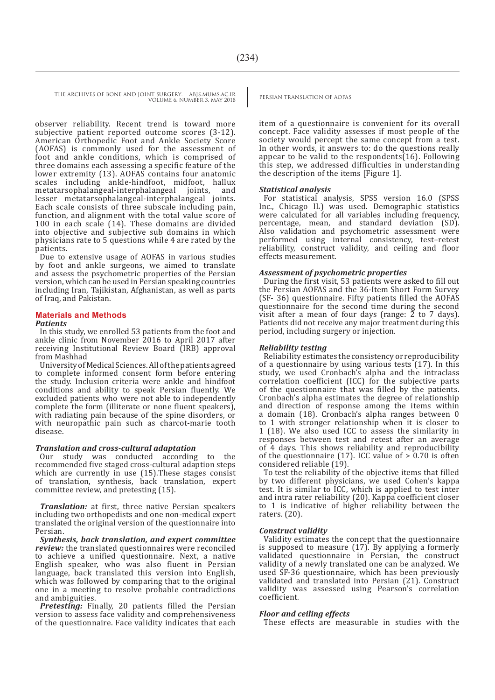VOLUME 6. NUMBER 3. MAY 2018

THE ARCHIVES OF BONE AND JOINT SURGERY. ABJS.MUMS.AC.IR PERSIAN TRANSLATION OF AOFAS

observer reliability. Recent trend is toward more subjective patient reported outcome scores (3-12). American Orthopedic Foot and Ankle Society Score (AOFAS) is commonly used for the assessment of foot and ankle conditions, which is comprised of three domains each assessing a specific feature of the lower extremity (13). AOFAS contains four anatomic scales including ankle-hindfoot, midfoot, hallux<br>metatarsophalangeal-interphalangeal joints, and metatarsophalangeal-interphalangeal lesser metatarsophalangeal-interphalangeal joints. Each scale consists of three subscale including pain, function, and alignment with the total value score of 100 in each scale (14). These domains are divided into objective and subjective sub domains in which physicians rate to 5 questions while 4 are rated by the patients.

Due to extensive usage of AOFAS in various studies by foot and ankle surgeons, we aimed to translate and assess the psychometric properties of the Persian version, which can be used in Persian speaking countries including Iran, Tajikistan, Afghanistan, as well as parts of Iraq, and Pakistan.

### **Materials and Methods**

#### *Patients*

In this study, we enrolled 53 patients from the foot and ankle clinic from November 2016 to April 2017 after receiving Institutional Review Board (IRB) approval from Mashhad

University of Medical Sciences. All of the patients agreed to complete informed consent form before entering the study. Inclusion criteria were ankle and hindfoot conditions and ability to speak Persian fluently. We excluded patients who were not able to independently complete the form (illiterate or none fluent speakers), with radiating pain because of the spine disorders, or with neuropathic pain such as charcot-marie tooth disease.

#### *Translation and cross-cultural adaptation*

Our study was conducted according to the recommended five staged cross-cultural adaption steps which are currently in use (15).These stages consist of translation, synthesis, back translation, expert committee review, and pretesting (15).

*Translation:* at first, three native Persian speakers including two orthopedists and one non-medical expert translated the original version of the questionnaire into Persian.

*Synthesis, back translation, and expert committee review:* the translated questionnaires were reconciled to achieve a unified questionnaire. Next, a native English speaker, who was also fluent in Persian language, back translated this version into English, which was followed by comparing that to the original one in a meeting to resolve probable contradictions and ambiguities.

*Pretesting:* Finally, 20 patients filled the Persian version to assess face validity and comprehensiveness of the questionnaire. Face validity indicates that each item of a questionnaire is convenient for its overall concept. Face validity assesses if most people of the society would percept the same concept from a test. In other words, it answers to: do the questions really appear to be valid to the respondents $(16)$ . Following this step, we addressed difficulties in understanding the description of the items [Figure 1].

#### *Statistical analysis*

For statistical analysis, SPSS version 16.0 (SPSS Inc., Chicago IL) was used. Demographic statistics were calculated for all variables including frequency, percentage, mean, and standard deviation (SD). Also validation and psychometric assessment were performed using internal consistency, test–retest reliability, construct validity, and ceiling and floor effects measurement.

#### *Assessment of psychometric properties*

During the first visit, 53 patients were asked to fill out the Persian AOFAS and the 36-Item Short Form Survey (SF- 36) questionnaire. Fifty patients filled the AOFAS questionnaire for the second time during the second visit after a mean of four days (range:  $\overline{2}$  to 7 days). Patients did not receive any major treatment during this period, including surgery or injection.

#### *Reliability testing*

Reliability estimates the consistency or reproducibility of a questionnaire by using various tests (17). In this study, we used Cronbach's alpha and the intraclass correlation coefficient (ICC) for the subjective parts of the questionnaire that was filled by the patients. Cronbach's alpha estimates the degree of relationship and direction of response among the items within a domain (18). Cronbach's alpha ranges between 0 to 1 with stronger relationship when it is closer to 1 (18). We also used ICC to assess the similarity in responses between test and retest after an average of 4 days. This shows reliability and reproducibility of the questionnaire (17). ICC value of  $> 0.70$  is often considered reliable (19).

To test the reliability of the objective items that filled by two different physicians, we used Cohen's kappa test. It is similar to ICC, which is applied to test inter and intra rater reliability (20). Kappa coefficient closer to 1 is indicative of higher reliability between the raters. (20).

#### *Construct validity*

Validity estimates the concept that the questionnaire is supposed to measure (17). By applying a formerly validated questionnaire in Persian, the construct validity of a newly translated one can be analyzed. We used SF-36 questionnaire, which has been previously validated and translated into Persian (21). Construct validity was assessed using Pearson's correlation coefficient.

#### *Floor and ceiling effects*

These effects are measurable in studies with the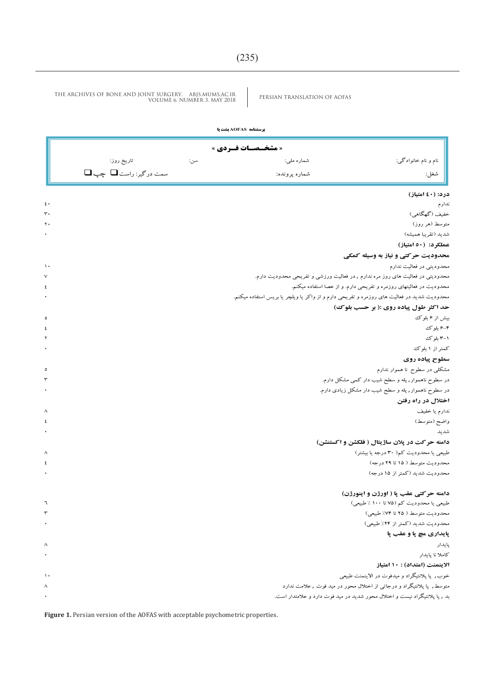|                             |     | <b>یرسشنامه AOFAS یشت یا</b> |                                |  |
|-----------------------------|-----|------------------------------|--------------------------------|--|
| <b>« مشخــصـات فــردي »</b> |     |                              |                                |  |
| تاريخ روز:                  | سن: | شماره ملي:                   | <br> <br>  نام و نام خانوادگی: |  |
| سمت درگیر: راست□ چپ□        |     | شماره پرونده:                | شغل: $\Bigg\vert$              |  |

#### **درد: )04 امتیاز(** ندارم 04 خفیف (گهگاهی) ( 1988) میباشد ( 1988) از این مناسب استفاده است. این مناسب استفاده استفاده استفاده استفاده استفاده متوسط (هر روز) هر استخدام المعرف (هر روز المعرف ) به استخدام المعرف المعرف المعرف المعرف المعرف المعرف المعرف ا شدید )تقریبا همیشه( 4 **عملکرد: )04 امتیاز( محدودیت حرکتی و نیاز به وسیله کمکی** محدودیتی در فعالیت ندارم 04 محدودیتی در فعالیت های روز مره ندارم , در فعالیت ورزشی و تفریحی محدودیت دارم. 7 محدودیت در فعالیتهای روزمره و تفریحی دارم. و از عصا استفاده میکنم. 0 محدودیت شدید در فعالیت های روزمره و تفریحی دارم و از واکر یا ویلچر یا بریس استفاده میکنم. 4 **حد اکثر طول پیاده روی :) بر حسب بلوک(** بیش از 6 بلوک 5 6-4 بلوک 0 ا <del>۱</del>۳ بلوک 0 با استان می است که استان است. استان استان استان استان استان استان استان استان استان استان استان ا کمتر از ۱ بلوک 4 برای است. از 1 بلوک 4 برای است که برای است که برای است که برای است که برای است که برای است که **سطوح پیاده روی** مشکلی در سطوح نا هموار ندارم 5 در سطوح ناهموار, پله و سطح شیب دار کمی مشکل دارم. 0 در سطوح ناهموار, پله و سطح شیب دار مشکل زیادی دارم. 4 **اختالل در راه رفتن** ندارم یا خفیف 8 واضح (متوسط) (  $\epsilon$ شدید با این است و با این است و است و است و است و است و است و است و است و است و است و است و است و است و است و ا<br>مسائل است و است و است و است و است و است و است و است و است و است و است و است و است و است و است و است و است و اس **دامنه حرکت در پالن ساژیتال ) فلکشن و اکستنشن(** طبیعی یا محدودیت کم) 33 درجه یا بیشتر( 8 محدودیت متوسط ( ۱۵ تا ۹۲ درجه) است. ( سال ۱۹۵ تا 9 درجه) است و متوسط ( ۱۵ تا 9 درجه) است و متوسط ( ۵ تا 9 درجه محدودیت شدید )کمتر از 11 درجه( 4 **دامنه حرکتی عقب پا ) اورژن و اینورژن(** طبیعی یا محدودیت کم (۷۵ تا ۱۰۰ ٪ طبیعی) (15 تا 133 تا 133 تا 133 تا 133 تا 133 تا 133 تا 133 تا 133 تا 133 تا محدودیت متوسط ( ۲۵ تا ۷۳٪) طبیعی) است. تا هم این متوسط ( ۷۵ تا ۷۴٪) طبیعی ( 01 تا ۷۴٪) صدا و است. تا هم این مت محدودیت شدید (کمتر از ۲۴٪ طبیعی)  $(i\text{ln}(\mathbf{f} \cdot))$

|           | پايداري مچ پا و عقب پا                                                     |
|-----------|----------------------------------------------------------------------------|
| $\lambda$ | يايدار                                                                     |
|           | كاملا نا يابدار                                                            |
|           | الاينمنت (امتداد) : ١٠ امتياز                                              |
| $\lambda$ | خوب, پا پلانتیگراد و میدفوت در الاینمنت طبیعی                              |
| $\lambda$ | متوسط , پا پلانتیگراد و درجاتی از اختلال محور در مید فوت , علامت ندارد     |
|           | بد , پا پلانتیگراد نیست و اختلال محور شدید در مید فوت دارد و علامتدار است. |

Figure 1. Persian version of the AOFAS with acceptable psychometric properties.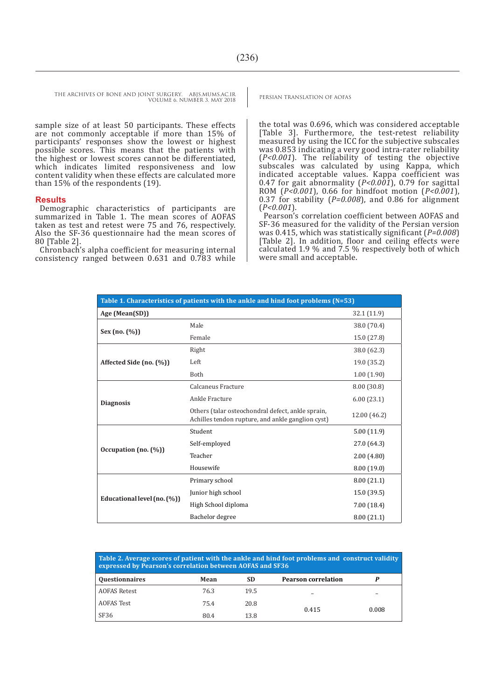sample size of at least 50 participants. These effects are not commonly acceptable if more than 15% of participants' responses show the lowest or highest possible scores. This means that the patients with the highest or lowest scores cannot be differentiated, which indicates limited responsiveness and low content validity when these effects are calculated more than 15% of the respondents (19).

#### **Results**

Demographic characteristics of participants are summarized in Table 1. The mean scores of AOFAS taken as test and retest were 75 and 76, respectively. Also the SF-36 questionnaire had the mean scores of 80 [Table 2].

Chronbach's alpha coefficient for measuring internal consistency ranged between 0.631 and 0.783 while the total was 0.696, which was considered acceptable [Table 3]. Furthermore, the test-retest reliability measured by using the ICC for the subjective subscales was 0.853 indicating a very good intra-rater reliability (*P<0.001*). The reliability of testing the objective subscales was calculated by using Kappa, which indicated acceptable values. Kappa coefficient was 0.47 for gait abnormality (*P<0.001*), 0.79 for sagittal ROM (*P<0.001*), 0.66 for hindfoot motion (*P<0.001*), 0.37 for stability (*P=0.008*), and 0.86 for alignment (*P<0.001*).

Pearson's correlation coefficient between AOFAS and SF-36 measured for the validity of the Persian version was 0.415, which was statistically significant (*P=0.008*) [Table 2]. In addition, floor and ceiling effects were calculated 1.9 % and 7.5 % respectively both of which were small and acceptable.

| Table 1. Characteristics of patients with the ankle and hind foot problems (N=53) |                                                                                                        |              |  |  |  |
|-----------------------------------------------------------------------------------|--------------------------------------------------------------------------------------------------------|--------------|--|--|--|
| Age (Mean(SD))                                                                    |                                                                                                        | 32.1(11.9)   |  |  |  |
| Sex $(no. (%))$                                                                   | Male                                                                                                   | 38.0 (70.4)  |  |  |  |
|                                                                                   | Female                                                                                                 | 15.0 (27.8)  |  |  |  |
| Affected Side (no. (%))                                                           | Right                                                                                                  | 38.0 (62.3)  |  |  |  |
|                                                                                   | Left                                                                                                   | 19.0 (35.2)  |  |  |  |
|                                                                                   | Both                                                                                                   | 1.00(1.90)   |  |  |  |
| <b>Diagnosis</b>                                                                  | Calcaneus Fracture                                                                                     | 8.00(30.8)   |  |  |  |
|                                                                                   | Ankle Fracture                                                                                         | 6.00(23.1)   |  |  |  |
|                                                                                   | Others (talar osteochondral defect, ankle sprain,<br>Achilles tendon rupture, and ankle ganglion cyst) | 12.00 (46.2) |  |  |  |
| Occupation (no. $(\%)$ )                                                          | Student                                                                                                | 5.00(11.9)   |  |  |  |
|                                                                                   | Self-employed                                                                                          | 27.0 (64.3)  |  |  |  |
|                                                                                   | Teacher                                                                                                | 2.00(4.80)   |  |  |  |
|                                                                                   | Housewife                                                                                              | 8.00 (19.0)  |  |  |  |
| Educational level (no. (%))                                                       | Primary school                                                                                         | 8.00(21.1)   |  |  |  |
|                                                                                   | Junior high school                                                                                     | 15.0(39.5)   |  |  |  |
|                                                                                   | High School diploma                                                                                    | 7.00(18.4)   |  |  |  |
|                                                                                   | Bachelor degree                                                                                        | 8.00(21.1)   |  |  |  |

| Table 2. Average scores of patient with the ankle and hind foot problems and construct validity<br>expressed by Pearson's correlation between AOFAS and SF36 |      |           |                            |       |  |
|--------------------------------------------------------------------------------------------------------------------------------------------------------------|------|-----------|----------------------------|-------|--|
| <b>Questionnaires</b>                                                                                                                                        | Mean | <b>SD</b> | <b>Pearson correlation</b> |       |  |
| <b>AOFAS Retest</b>                                                                                                                                          | 76.3 | 19.5      |                            |       |  |
| <b>AOFAS Test</b>                                                                                                                                            | 75.4 | 20.8      |                            |       |  |
| SF <sub>36</sub>                                                                                                                                             | 80.4 | 13.8      | 0.415                      | 0.008 |  |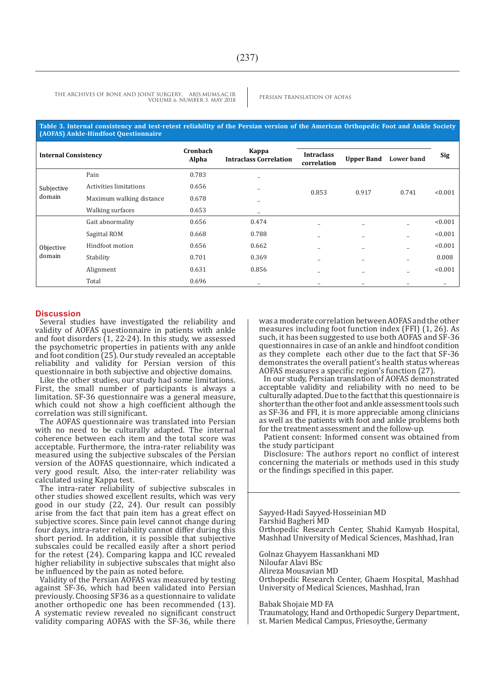#### **Table 3. Internal consistency and test-retest reliability of the Persian version of the American Orthopedic Foot and Ankle Society (AOFAS) Ankle-Hindfoot Questionnaire**

| <b>Internal Consistency</b> |                          | Cronbach | Kappa<br><b>Intraclass Correlation</b> |                                  |                   |                   |            |
|-----------------------------|--------------------------|----------|----------------------------------------|----------------------------------|-------------------|-------------------|------------|
|                             |                          | Alpha    |                                        | <b>Intraclass</b><br>correlation | <b>Upper Band</b> | <b>Lower band</b> | <b>Sig</b> |
| Subjective<br>domain        | Pain                     | 0.783    | ۰                                      | 0.853                            | 0.917             | 0.741             | < 0.001    |
|                             | Activities limitations   | 0.656    | $\overline{\phantom{0}}$               |                                  |                   |                   |            |
|                             | Maximum walking distance | 0.678    | ۰                                      |                                  |                   |                   |            |
|                             | Walking surfaces         | 0.653    | $\overline{\phantom{0}}$               |                                  |                   |                   |            |
| Objective<br>domain         | Gait abnormality         | 0.656    | 0.474                                  | $\overline{\phantom{0}}$         |                   | -                 | < 0.001    |
|                             | Sagittal ROM             | 0.668    | 0.788                                  | -                                |                   |                   | < 0.001    |
|                             | Hindfoot motion          | 0.656    | 0.662                                  | -                                |                   |                   | < 0.001    |
|                             | Stability                | 0.701    | 0.369                                  |                                  |                   |                   | 0.008      |
|                             | Alignment                | 0.631    | 0.856                                  |                                  |                   |                   | < 0.001    |
|                             | Total                    | 0.696    | $\overline{\phantom{0}}$               | -                                |                   |                   | -          |

#### **Discussion**

Several studies have investigated the reliability and validity of AOFAS questionnaire in patients with ankle and foot disorders  $(1, 22-24)$ . In this study, we assessed the psychometric properties in patients with any ankle and foot condition (25). Our study revealed an acceptable reliability and validity for Persian version of this questionnaire in both subjective and objective domains.

Like the other studies, our study had some limitations. First, the small number of participants is always a limitation. SF-36 questionnaire was a general measure, which could not show a high coefficient although the correlation was still significant.

The AOFAS questionnaire was translated into Persian with no need to be culturally adapted. The internal coherence between each item and the total score was acceptable. Furthermore, the intra-rater reliability was measured using the subjective subscales of the Persian version of the AOFAS questionnaire, which indicated a very good result. Also, the inter-rater reliability was calculated using Kappa test.

The intra-rater reliability of subjective subscales in other studies showed excellent results, which was very good in our study (22, 24). Our result can possibly arise from the fact that pain item has a great effect on subjective scores. Since pain level cannot change during four days, intra-rater reliability cannot differ during this short period. In addition, it is possible that subjective subscales could be recalled easily after a short period for the retest (24). Comparing kappa and ICC revealed higher reliability in subjective subscales that might also be influenced by the pain as noted before.

Validity of the Persian AOFAS was measured by testing against SF-36, which had been validated into Persian previously. Choosing SF36 as a questionnaire to validate another orthopedic one has been recommended (13). A systematic review revealed no significant construct validity comparing AOFAS with the SF-36, while there

was a moderate correlation between AOFAS and the other measures including foot function index (FFI) (1, 26). As such, it has been suggested to use both AOFAS and SF-36 questionnaires in case of an ankle and hindfoot condition as they complete each other due to the fact that SF-36 demonstrates the overall patient's health status whereas AOFAS measures a specific region's function (27).

In our study, Persian translation of AOFAS demonstrated acceptable validity and reliability with no need to be culturally adapted. Due to the fact that this questionnaire is shorter than the other foot and ankle assessment tools such as SF-36 and FFI, it is more appreciable among clinicians as well as the patients with foot and ankle problems both for the treatment assessment and the follow-up.

Patient consent: Informed consent was obtained from the study participant

Disclosure: The authors report no conflict of interest concerning the materials or methods used in this study or the findings specified in this paper.

Sayyed-Hadi Sayyed-Hosseinian MD Farshid Bagheri MD Orthopedic Research Center, Shahid Kamyab Hospital, Mashhad University of Medical Sciences, Mashhad, Iran

Golnaz Ghayyem Hassankhani MD

Niloufar Alavi BSc Alireza Mousavian MD

Orthopedic Research Center, Ghaem Hospital, Mashhad University of Medical Sciences, Mashhad, Iran

Babak Shojaie MD FA

Traumatology, Hand and Orthopedic Surgery Department, st. Marien Medical Campus, Friesoythe, Germany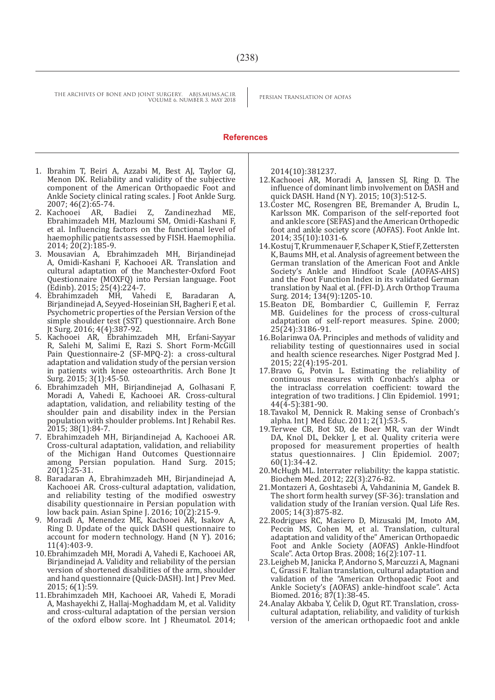#### **References**

- 1. Ibrahim T, Beiri A, Azzabi M, Best AJ, Taylor GJ, Menon DK. Reliability and validity of the subjective component of the American Orthopaedic Foot and Ankle Society clinical rating scales. J Foot Ankle Surg.
- 2007; 46(2):65-74.<br>2. Kachooei AR, Badiei Z, 2. Kachooei AR, Badiei Z, Zandinezhad ME, Ebrahimzadeh MH, Mazloumi SM, Omidi-Kashani F, et al. Influencing factors on the functional level of haemophilic patients assessed by FISH. Haemophilia. 2014; 20(2):185-9.
- 3. Mousavian A, Ebrahimzadeh MH, Birjandinejad A, Omidi-Kashani F, Kachooei AR. Translation and cultural adaptation of the Manchester-Oxford Foot Questionnaire (MOXFQ) into Persian language. Foot (Edinb). 2015; 25(4):224-7.
- 4. Ebrahimzadeh MH, Vahedi E, Baradaran A, Birjandinejad A, Seyyed-Hoseinian SH, Bagheri F, et al. Psychometric properties of the Persian Version of the simple shoulder test (SST) questionnaire. Arch Bone Jt Surg. 2016; 4(4):387-92.
- 5. Kachooei AR, Ebrahimzadeh MH, Erfani-Sayyar R, Salehi M, Salimi E, Razi S. Short Form-McGill Pain Questionnaire-2 (SF-MPQ-2): a cross-cultural adaptation and validation study of the persian version in patients with knee osteoarthritis. Arch Bone Jt Surg. 2015; 3(1):45-50.
- 6. Ebrahimzadeh MH, Birjandinejad A, Golhasani F, Moradi A, Vahedi E, Kachooei AR. Cross-cultural adaptation, validation, and reliability testing of the shoulder pain and disability index in the Persian population with shoulder problems. Int J Rehabil Res. 2015; 38(1):84-7.
- 7. Ebrahimzadeh MH, Birjandinejad A, Kachooei AR. Cross-cultural adaptation, validation, and reliability of the Michigan Hand Outcomes Questionnaire among Persian population. Hand Surg. 2015; 20(1):25-31.
- 8. Baradaran A, Ebrahimzadeh MH, Birjandinejad A, Kachooei AR. Cross-cultural adaptation, validation, and reliability testing of the modified oswestry disability questionnaire in Persian population with low back pain. Asian Spine J. 2016; 10(2):215-9.
- 9. Moradi A, Menendez ME, Kachooei AR, Isakov A, Ring D. Update of the quick DASH questionnaire to account for modern technology. Hand (N Y). 2016; 11(4):403-9.
- 10.Ebrahimzadeh MH, Moradi A, Vahedi E, Kachooei AR, Birjandinejad A. Validity and reliability of the persian version of shortened disabilities of the arm, shoulder and hand questionnaire (Quick-DASH). Int J Prev Med. 2015; 6(1):59.
- 11.Ebrahimzadeh MH, Kachooei AR, Vahedi E, Moradi A, Mashayekhi Z, Hallaj-Moghaddam M, et al. Validity and cross-cultural adaptation of the persian version of the oxford elbow score. Int J Rheumatol. 2014;

2014(10):381237.

- 12.Kachooei AR, Moradi A, Janssen SJ, Ring D. The influence of dominant limb involvement on DASH and quick DASH. Hand (N Y). 2015; 10(3):512-5.
- 13.Coster MC, Rosengren BE, Bremander A, Brudin L, Karlsson MK. Comparison of the self-reported foot and ankle score (SEFAS) and the American Orthopedic foot and ankle society score (AOFAS). Foot Ankle Int. 2014; 35(10):1031-6.
- 14.Kostuj T, Krummenauer F, Schaper K, Stief F, Zettersten K, Baums MH, et al. Analysis of agreement between the German translation of the American Foot and Ankle Society's Ankle and Hindfoot Scale (AOFAS-AHS) and the Foot Function Index in its validated German translation by Naal et al. (FFI-D). Arch Orthop Trauma Surg. 2014; 134(9):1205-10.
- 15.Beaton DE, Bombardier C, Guillemin F, Ferraz MB. Guidelines for the process of cross-cultural adaptation of self-report measures. Spine. 2000; 25(24):3186-91.
- 16.Bolarinwa OA. Principles and methods of validity and reliability testing of questionnaires used in social and health science researches. Niger Postgrad Med J. 2015; 22(4):195-201.
- 17.Bravo G, Potvin L. Estimating the reliability of continuous measures with Cronbach's alpha or the intraclass correlation coefficient: toward the integration of two traditions. J Clin Epidemiol. 1991;  $44(\overline{4} - 5)$ :381-90.
- 18.Tavakol M, Dennick R. Making sense of Cronbach's alpha. Int J Med Educ. 2011;  $2(\bar{1})$ :53-5.
- 19.Terwee CB, Bot SD, de Boer MR, van der Windt DA, Knol DL, Dekker J, et al. Quality criteria were proposed for measurement properties of health status questionnaires. J Clin Epidemiol. 2007; 60(1):34-42.
- 20.McHugh ML. Interrater reliability: the kappa statistic. Biochem Med. 2012; 22(3):276-82.
- 21.Montazeri A, Goshtasebi A, Vahdaninia M, Gandek B. The short form health survey (SF-36): translation and validation study of the Iranian version. Qual Life Res. 2005; 14(3):875-82.
- 22.Rodrigues RC, Masiero D, Mizusaki JM, Imoto AM, Peccin MS, Cohen M, et al. Translation, cultural adaptation and validity of the" American Orthopaedic Foot and Ankle Society (AOFAS) Ankle-Hindfoot Scale". Acta Ortop Bras. 2008; 16(2):107-11.
- 23.Leigheb M, Janicka P, Andorno S, Marcuzzi A, Magnani C, Grassi F. Italian translation, cultural adaptation and validation of the "American Orthopaedic Foot and Ankle Society's (AOFAS) ankle-hindfoot scale". Acta Biomed. 2016; 87(1):38-45.
- 24.Analay Akbaba Y, Celik D, Ogut RT. Translation, crosscultural adaptation, reliability, and validity of turkish version of the american orthopaedic foot and ankle